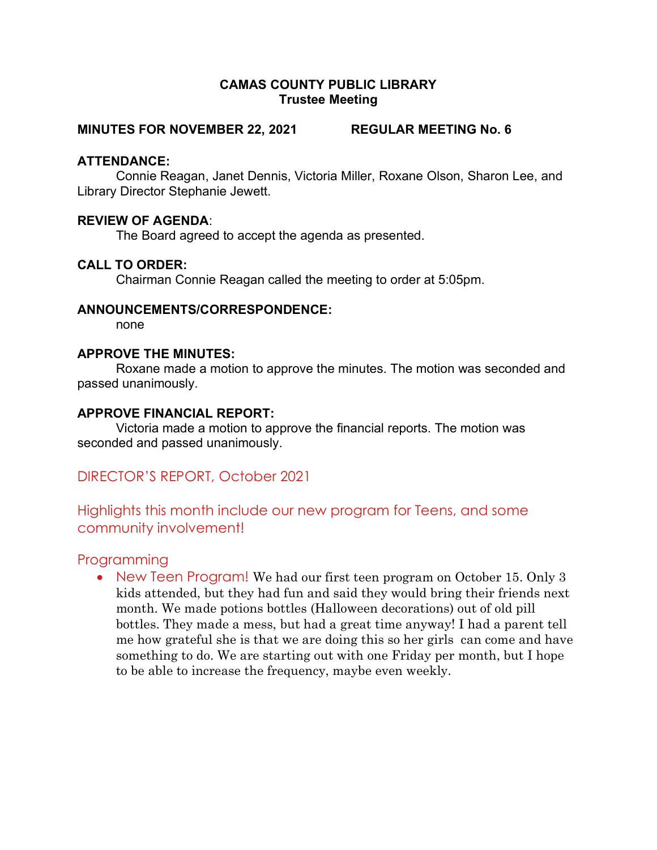### CAMAS COUNTY PUBLIC LIBRARY Trustee Meeting

#### MINUTES FOR NOVEMBER 22, 2021 REGULAR MEETING No. 6

### ATTENDANCE:

Connie Reagan, Janet Dennis, Victoria Miller, Roxane Olson, Sharon Lee, and Library Director Stephanie Jewett.

## REVIEW OF AGENDA:

The Board agreed to accept the agenda as presented.

## CALL TO ORDER:

Chairman Connie Reagan called the meeting to order at 5:05pm.

#### ANNOUNCEMENTS/CORRESPONDENCE:

none

## APPROVE THE MINUTES:

Roxane made a motion to approve the minutes. The motion was seconded and passed unanimously.

#### APPROVE FINANCIAL REPORT:

Victoria made a motion to approve the financial reports. The motion was seconded and passed unanimously.

# DIRECTOR'S REPORT, October 2021

# Highlights this month include our new program for Teens, and some community involvement!

# Programming

• New Teen Program! We had our first teen program on October 15. Only 3 kids attended, but they had fun and said they would bring their friends next month. We made potions bottles (Halloween decorations) out of old pill bottles. They made a mess, but had a great time anyway! I had a parent tell me how grateful she is that we are doing this so her girls can come and have something to do. We are starting out with one Friday per month, but I hope to be able to increase the frequency, maybe even weekly.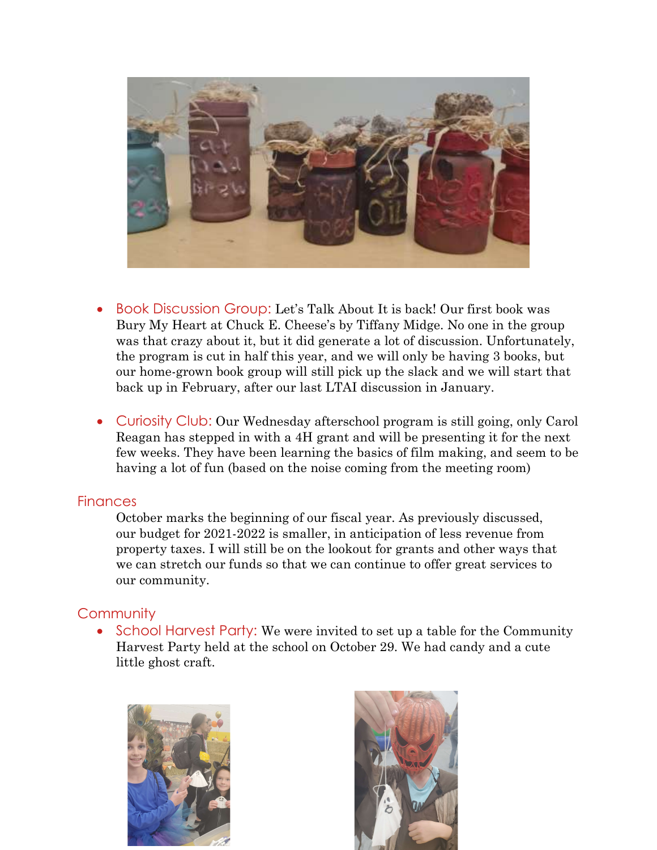

- Book Discussion Group: Let's Talk About It is back! Our first book was Bury My Heart at Chuck E. Cheese's by Tiffany Midge. No one in the group was that crazy about it, but it did generate a lot of discussion. Unfortunately, the program is cut in half this year, and we will only be having 3 books, but our home-grown book group will still pick up the slack and we will start that back up in February, after our last LTAI discussion in January.
- Curiosity Club: Our Wednesday afterschool program is still going, only Carol Reagan has stepped in with a 4H grant and will be presenting it for the next few weeks. They have been learning the basics of film making, and seem to be having a lot of fun (based on the noise coming from the meeting room)

## **Finances**

October marks the beginning of our fiscal year. As previously discussed, our budget for 2021-2022 is smaller, in anticipation of less revenue from property taxes. I will still be on the lookout for grants and other ways that we can stretch our funds so that we can continue to offer great services to our community.

# **Community**

• School Harvest Party: We were invited to set up a table for the Community Harvest Party held at the school on October 29. We had candy and a cute little ghost craft.



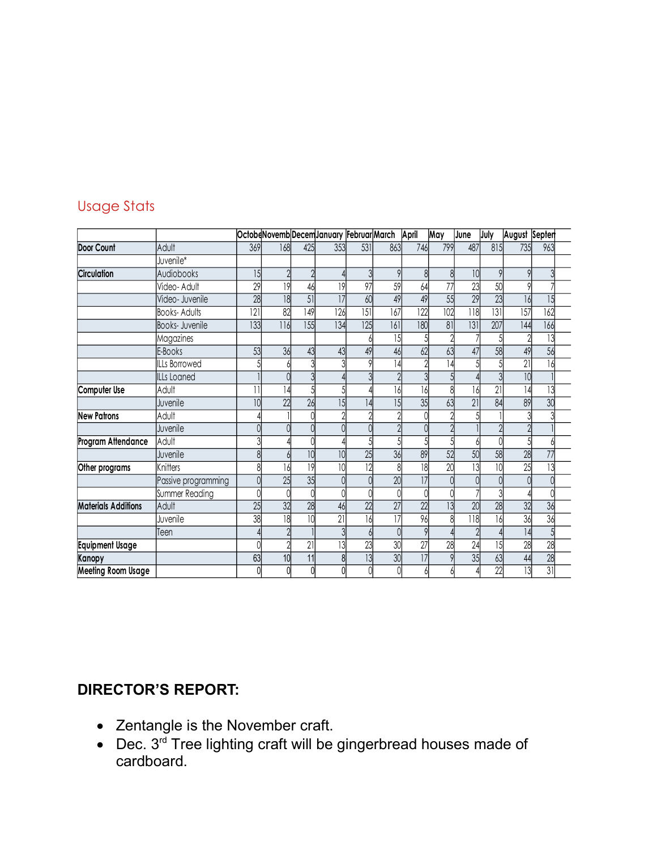# Usage Stats

| <b>Usage Stats</b><br>OctobeNovemb DecemJanuary Februar March April<br>May<br>July<br>August Septen<br>June<br>$\overline{531}$<br>Door Count<br>Adult<br>168<br>353<br>863<br>746<br>799<br>487<br>815<br>735<br>963<br>369<br>425<br>Juvenile*<br>Circulation<br>15<br>10<br>Audiobooks<br>9<br>$\gamma$<br>9<br>8<br>8<br>$\circ$<br>3<br>59<br>29<br>97<br>23<br>50<br> 9 <br> 9 <br>46<br>64<br>77<br>Video- Adult<br>$\circ$<br>49<br>28<br>$\overline{18}$<br>$\overline{51}$<br>49<br>55<br>29<br>23<br> 7<br>60<br>15<br>Video- Juvenile<br>16<br>$\overline{121}$<br>149<br>$\overline{151}$<br>167<br>122<br>102<br>118<br>$\overline{131}$<br>82<br>126<br>157<br>162<br><b>Books-Adults</b><br>133<br>155<br>180<br>134<br>$\overline{125}$<br>161<br> 81 <br> 31<br>207<br>$\overline{144}$<br>166<br>Books- Juvenile<br>116<br>$\overline{13}$<br>Magazines<br>15<br>2<br>5<br>ŋ<br>62<br>58<br>56<br>E-Books<br>53<br>49<br>46<br>63<br>36<br>43<br>49<br>43<br>47<br>$\overline{21}$<br>14<br>16<br>ILLs Borrowed<br>14<br>5<br>10<br>$\gamma$<br>$\mathfrak{z}$<br><b>ILLs</b> Loaned<br>$\mathcal{S}$<br>$\overline{5}$<br>Computer Use<br>$\overline{21}$<br>16<br>16<br>13<br>Adult<br>ا4<br>8<br> 4 <br>16<br>11<br>26<br>35<br>84<br>30<br>22<br>$\overline{15}$<br>89<br>10<br>15<br>63<br>21<br> 4<br>Juvenile<br>Adult<br>$\gamma$<br>$\mathcal{P}$<br>্ব<br>$\overline{2}$<br>Juvenile<br>$\Omega$<br>$\overline{2}$<br>$\Omega$<br>Adult<br>3<br>5<br>$\overline{5}$<br>51<br>$\frac{36}{8}$<br>50<br>10<br>25<br>89<br>52<br>58<br>28<br>77<br>Juvenile<br>8<br>10<br>$\overline{12}$<br>$\overline{18}$<br>$\overline{20}$<br>$\overline{13}$<br>$\overline{10}$<br>$\overline{19}$<br>Knitters<br>$\overline{10}$<br>$\overline{25}$<br>13<br>8<br>16<br>35<br>20<br>25<br>$\overline{17}$<br>Passive programming<br>$\overline{0}$<br>$\Omega$<br>$\Omega$<br>$\overline{0}$<br>Summer Reading<br>$\overline{0}$<br>$\Omega$<br>$\overline{0}$<br>$\overline{3}$<br>$\Omega$<br>27<br>25<br>32<br>28<br>$\overline{22}$<br>28<br>22<br>32<br>36<br>13<br>$\overline{20}$<br>Adult<br>46<br>38<br>$\overline{18}$<br>$\overline{10}$<br>$\overline{17}$<br>96<br>16<br>$\overline{36}$<br>36<br>118<br>21<br>Juvenile<br>16<br>8<br>$\overline{0}$<br>9<br> 4 <br>$\overline{5}$<br>$\gamma$<br>Teen<br>30<br>23<br>27<br>28<br>28<br>13<br>28<br>24<br>15<br>$\Omega$<br>21<br>$\frac{30}{0}$<br>$\overline{13}$<br>$\overline{35}$<br>17<br>63<br>11<br>63<br>28<br>10<br>8<br>44<br>$\overline{22}$<br>31<br>$\overline{0}$<br>13<br>$\bigcap$<br>U<br>$\Omega$ |                            |  |  |  |  |  |  |  |
|---------------------------------------------------------------------------------------------------------------------------------------------------------------------------------------------------------------------------------------------------------------------------------------------------------------------------------------------------------------------------------------------------------------------------------------------------------------------------------------------------------------------------------------------------------------------------------------------------------------------------------------------------------------------------------------------------------------------------------------------------------------------------------------------------------------------------------------------------------------------------------------------------------------------------------------------------------------------------------------------------------------------------------------------------------------------------------------------------------------------------------------------------------------------------------------------------------------------------------------------------------------------------------------------------------------------------------------------------------------------------------------------------------------------------------------------------------------------------------------------------------------------------------------------------------------------------------------------------------------------------------------------------------------------------------------------------------------------------------------------------------------------------------------------------------------------------------------------------------------------------------------------------------------------------------------------------------------------------------------------------------------------------------------------------------------------------------------------------------------------------------------------------------------------------------------------------------------------------------------------------------------------------------------------------------------------------------------------------------------------------------------------------------------------------------------------------------------------------------------------------------------------------------------------------------------------------------------------------|----------------------------|--|--|--|--|--|--|--|
|                                                                                                                                                                                                                                                                                                                                                                                                                                                                                                                                                                                                                                                                                                                                                                                                                                                                                                                                                                                                                                                                                                                                                                                                                                                                                                                                                                                                                                                                                                                                                                                                                                                                                                                                                                                                                                                                                                                                                                                                                                                                                                                                                                                                                                                                                                                                                                                                                                                                                                                                                                                                   |                            |  |  |  |  |  |  |  |
|                                                                                                                                                                                                                                                                                                                                                                                                                                                                                                                                                                                                                                                                                                                                                                                                                                                                                                                                                                                                                                                                                                                                                                                                                                                                                                                                                                                                                                                                                                                                                                                                                                                                                                                                                                                                                                                                                                                                                                                                                                                                                                                                                                                                                                                                                                                                                                                                                                                                                                                                                                                                   |                            |  |  |  |  |  |  |  |
|                                                                                                                                                                                                                                                                                                                                                                                                                                                                                                                                                                                                                                                                                                                                                                                                                                                                                                                                                                                                                                                                                                                                                                                                                                                                                                                                                                                                                                                                                                                                                                                                                                                                                                                                                                                                                                                                                                                                                                                                                                                                                                                                                                                                                                                                                                                                                                                                                                                                                                                                                                                                   |                            |  |  |  |  |  |  |  |
|                                                                                                                                                                                                                                                                                                                                                                                                                                                                                                                                                                                                                                                                                                                                                                                                                                                                                                                                                                                                                                                                                                                                                                                                                                                                                                                                                                                                                                                                                                                                                                                                                                                                                                                                                                                                                                                                                                                                                                                                                                                                                                                                                                                                                                                                                                                                                                                                                                                                                                                                                                                                   |                            |  |  |  |  |  |  |  |
|                                                                                                                                                                                                                                                                                                                                                                                                                                                                                                                                                                                                                                                                                                                                                                                                                                                                                                                                                                                                                                                                                                                                                                                                                                                                                                                                                                                                                                                                                                                                                                                                                                                                                                                                                                                                                                                                                                                                                                                                                                                                                                                                                                                                                                                                                                                                                                                                                                                                                                                                                                                                   |                            |  |  |  |  |  |  |  |
|                                                                                                                                                                                                                                                                                                                                                                                                                                                                                                                                                                                                                                                                                                                                                                                                                                                                                                                                                                                                                                                                                                                                                                                                                                                                                                                                                                                                                                                                                                                                                                                                                                                                                                                                                                                                                                                                                                                                                                                                                                                                                                                                                                                                                                                                                                                                                                                                                                                                                                                                                                                                   |                            |  |  |  |  |  |  |  |
|                                                                                                                                                                                                                                                                                                                                                                                                                                                                                                                                                                                                                                                                                                                                                                                                                                                                                                                                                                                                                                                                                                                                                                                                                                                                                                                                                                                                                                                                                                                                                                                                                                                                                                                                                                                                                                                                                                                                                                                                                                                                                                                                                                                                                                                                                                                                                                                                                                                                                                                                                                                                   |                            |  |  |  |  |  |  |  |
|                                                                                                                                                                                                                                                                                                                                                                                                                                                                                                                                                                                                                                                                                                                                                                                                                                                                                                                                                                                                                                                                                                                                                                                                                                                                                                                                                                                                                                                                                                                                                                                                                                                                                                                                                                                                                                                                                                                                                                                                                                                                                                                                                                                                                                                                                                                                                                                                                                                                                                                                                                                                   |                            |  |  |  |  |  |  |  |
|                                                                                                                                                                                                                                                                                                                                                                                                                                                                                                                                                                                                                                                                                                                                                                                                                                                                                                                                                                                                                                                                                                                                                                                                                                                                                                                                                                                                                                                                                                                                                                                                                                                                                                                                                                                                                                                                                                                                                                                                                                                                                                                                                                                                                                                                                                                                                                                                                                                                                                                                                                                                   |                            |  |  |  |  |  |  |  |
|                                                                                                                                                                                                                                                                                                                                                                                                                                                                                                                                                                                                                                                                                                                                                                                                                                                                                                                                                                                                                                                                                                                                                                                                                                                                                                                                                                                                                                                                                                                                                                                                                                                                                                                                                                                                                                                                                                                                                                                                                                                                                                                                                                                                                                                                                                                                                                                                                                                                                                                                                                                                   |                            |  |  |  |  |  |  |  |
|                                                                                                                                                                                                                                                                                                                                                                                                                                                                                                                                                                                                                                                                                                                                                                                                                                                                                                                                                                                                                                                                                                                                                                                                                                                                                                                                                                                                                                                                                                                                                                                                                                                                                                                                                                                                                                                                                                                                                                                                                                                                                                                                                                                                                                                                                                                                                                                                                                                                                                                                                                                                   |                            |  |  |  |  |  |  |  |
|                                                                                                                                                                                                                                                                                                                                                                                                                                                                                                                                                                                                                                                                                                                                                                                                                                                                                                                                                                                                                                                                                                                                                                                                                                                                                                                                                                                                                                                                                                                                                                                                                                                                                                                                                                                                                                                                                                                                                                                                                                                                                                                                                                                                                                                                                                                                                                                                                                                                                                                                                                                                   |                            |  |  |  |  |  |  |  |
|                                                                                                                                                                                                                                                                                                                                                                                                                                                                                                                                                                                                                                                                                                                                                                                                                                                                                                                                                                                                                                                                                                                                                                                                                                                                                                                                                                                                                                                                                                                                                                                                                                                                                                                                                                                                                                                                                                                                                                                                                                                                                                                                                                                                                                                                                                                                                                                                                                                                                                                                                                                                   |                            |  |  |  |  |  |  |  |
|                                                                                                                                                                                                                                                                                                                                                                                                                                                                                                                                                                                                                                                                                                                                                                                                                                                                                                                                                                                                                                                                                                                                                                                                                                                                                                                                                                                                                                                                                                                                                                                                                                                                                                                                                                                                                                                                                                                                                                                                                                                                                                                                                                                                                                                                                                                                                                                                                                                                                                                                                                                                   |                            |  |  |  |  |  |  |  |
|                                                                                                                                                                                                                                                                                                                                                                                                                                                                                                                                                                                                                                                                                                                                                                                                                                                                                                                                                                                                                                                                                                                                                                                                                                                                                                                                                                                                                                                                                                                                                                                                                                                                                                                                                                                                                                                                                                                                                                                                                                                                                                                                                                                                                                                                                                                                                                                                                                                                                                                                                                                                   |                            |  |  |  |  |  |  |  |
|                                                                                                                                                                                                                                                                                                                                                                                                                                                                                                                                                                                                                                                                                                                                                                                                                                                                                                                                                                                                                                                                                                                                                                                                                                                                                                                                                                                                                                                                                                                                                                                                                                                                                                                                                                                                                                                                                                                                                                                                                                                                                                                                                                                                                                                                                                                                                                                                                                                                                                                                                                                                   |                            |  |  |  |  |  |  |  |
|                                                                                                                                                                                                                                                                                                                                                                                                                                                                                                                                                                                                                                                                                                                                                                                                                                                                                                                                                                                                                                                                                                                                                                                                                                                                                                                                                                                                                                                                                                                                                                                                                                                                                                                                                                                                                                                                                                                                                                                                                                                                                                                                                                                                                                                                                                                                                                                                                                                                                                                                                                                                   |                            |  |  |  |  |  |  |  |
|                                                                                                                                                                                                                                                                                                                                                                                                                                                                                                                                                                                                                                                                                                                                                                                                                                                                                                                                                                                                                                                                                                                                                                                                                                                                                                                                                                                                                                                                                                                                                                                                                                                                                                                                                                                                                                                                                                                                                                                                                                                                                                                                                                                                                                                                                                                                                                                                                                                                                                                                                                                                   |                            |  |  |  |  |  |  |  |
|                                                                                                                                                                                                                                                                                                                                                                                                                                                                                                                                                                                                                                                                                                                                                                                                                                                                                                                                                                                                                                                                                                                                                                                                                                                                                                                                                                                                                                                                                                                                                                                                                                                                                                                                                                                                                                                                                                                                                                                                                                                                                                                                                                                                                                                                                                                                                                                                                                                                                                                                                                                                   |                            |  |  |  |  |  |  |  |
|                                                                                                                                                                                                                                                                                                                                                                                                                                                                                                                                                                                                                                                                                                                                                                                                                                                                                                                                                                                                                                                                                                                                                                                                                                                                                                                                                                                                                                                                                                                                                                                                                                                                                                                                                                                                                                                                                                                                                                                                                                                                                                                                                                                                                                                                                                                                                                                                                                                                                                                                                                                                   |                            |  |  |  |  |  |  |  |
|                                                                                                                                                                                                                                                                                                                                                                                                                                                                                                                                                                                                                                                                                                                                                                                                                                                                                                                                                                                                                                                                                                                                                                                                                                                                                                                                                                                                                                                                                                                                                                                                                                                                                                                                                                                                                                                                                                                                                                                                                                                                                                                                                                                                                                                                                                                                                                                                                                                                                                                                                                                                   |                            |  |  |  |  |  |  |  |
|                                                                                                                                                                                                                                                                                                                                                                                                                                                                                                                                                                                                                                                                                                                                                                                                                                                                                                                                                                                                                                                                                                                                                                                                                                                                                                                                                                                                                                                                                                                                                                                                                                                                                                                                                                                                                                                                                                                                                                                                                                                                                                                                                                                                                                                                                                                                                                                                                                                                                                                                                                                                   |                            |  |  |  |  |  |  |  |
|                                                                                                                                                                                                                                                                                                                                                                                                                                                                                                                                                                                                                                                                                                                                                                                                                                                                                                                                                                                                                                                                                                                                                                                                                                                                                                                                                                                                                                                                                                                                                                                                                                                                                                                                                                                                                                                                                                                                                                                                                                                                                                                                                                                                                                                                                                                                                                                                                                                                                                                                                                                                   |                            |  |  |  |  |  |  |  |
|                                                                                                                                                                                                                                                                                                                                                                                                                                                                                                                                                                                                                                                                                                                                                                                                                                                                                                                                                                                                                                                                                                                                                                                                                                                                                                                                                                                                                                                                                                                                                                                                                                                                                                                                                                                                                                                                                                                                                                                                                                                                                                                                                                                                                                                                                                                                                                                                                                                                                                                                                                                                   |                            |  |  |  |  |  |  |  |
|                                                                                                                                                                                                                                                                                                                                                                                                                                                                                                                                                                                                                                                                                                                                                                                                                                                                                                                                                                                                                                                                                                                                                                                                                                                                                                                                                                                                                                                                                                                                                                                                                                                                                                                                                                                                                                                                                                                                                                                                                                                                                                                                                                                                                                                                                                                                                                                                                                                                                                                                                                                                   |                            |  |  |  |  |  |  |  |
|                                                                                                                                                                                                                                                                                                                                                                                                                                                                                                                                                                                                                                                                                                                                                                                                                                                                                                                                                                                                                                                                                                                                                                                                                                                                                                                                                                                                                                                                                                                                                                                                                                                                                                                                                                                                                                                                                                                                                                                                                                                                                                                                                                                                                                                                                                                                                                                                                                                                                                                                                                                                   |                            |  |  |  |  |  |  |  |
|                                                                                                                                                                                                                                                                                                                                                                                                                                                                                                                                                                                                                                                                                                                                                                                                                                                                                                                                                                                                                                                                                                                                                                                                                                                                                                                                                                                                                                                                                                                                                                                                                                                                                                                                                                                                                                                                                                                                                                                                                                                                                                                                                                                                                                                                                                                                                                                                                                                                                                                                                                                                   |                            |  |  |  |  |  |  |  |
|                                                                                                                                                                                                                                                                                                                                                                                                                                                                                                                                                                                                                                                                                                                                                                                                                                                                                                                                                                                                                                                                                                                                                                                                                                                                                                                                                                                                                                                                                                                                                                                                                                                                                                                                                                                                                                                                                                                                                                                                                                                                                                                                                                                                                                                                                                                                                                                                                                                                                                                                                                                                   |                            |  |  |  |  |  |  |  |
|                                                                                                                                                                                                                                                                                                                                                                                                                                                                                                                                                                                                                                                                                                                                                                                                                                                                                                                                                                                                                                                                                                                                                                                                                                                                                                                                                                                                                                                                                                                                                                                                                                                                                                                                                                                                                                                                                                                                                                                                                                                                                                                                                                                                                                                                                                                                                                                                                                                                                                                                                                                                   |                            |  |  |  |  |  |  |  |
|                                                                                                                                                                                                                                                                                                                                                                                                                                                                                                                                                                                                                                                                                                                                                                                                                                                                                                                                                                                                                                                                                                                                                                                                                                                                                                                                                                                                                                                                                                                                                                                                                                                                                                                                                                                                                                                                                                                                                                                                                                                                                                                                                                                                                                                                                                                                                                                                                                                                                                                                                                                                   |                            |  |  |  |  |  |  |  |
|                                                                                                                                                                                                                                                                                                                                                                                                                                                                                                                                                                                                                                                                                                                                                                                                                                                                                                                                                                                                                                                                                                                                                                                                                                                                                                                                                                                                                                                                                                                                                                                                                                                                                                                                                                                                                                                                                                                                                                                                                                                                                                                                                                                                                                                                                                                                                                                                                                                                                                                                                                                                   |                            |  |  |  |  |  |  |  |
|                                                                                                                                                                                                                                                                                                                                                                                                                                                                                                                                                                                                                                                                                                                                                                                                                                                                                                                                                                                                                                                                                                                                                                                                                                                                                                                                                                                                                                                                                                                                                                                                                                                                                                                                                                                                                                                                                                                                                                                                                                                                                                                                                                                                                                                                                                                                                                                                                                                                                                                                                                                                   | <b>New Patrons</b>         |  |  |  |  |  |  |  |
|                                                                                                                                                                                                                                                                                                                                                                                                                                                                                                                                                                                                                                                                                                                                                                                                                                                                                                                                                                                                                                                                                                                                                                                                                                                                                                                                                                                                                                                                                                                                                                                                                                                                                                                                                                                                                                                                                                                                                                                                                                                                                                                                                                                                                                                                                                                                                                                                                                                                                                                                                                                                   |                            |  |  |  |  |  |  |  |
|                                                                                                                                                                                                                                                                                                                                                                                                                                                                                                                                                                                                                                                                                                                                                                                                                                                                                                                                                                                                                                                                                                                                                                                                                                                                                                                                                                                                                                                                                                                                                                                                                                                                                                                                                                                                                                                                                                                                                                                                                                                                                                                                                                                                                                                                                                                                                                                                                                                                                                                                                                                                   | Program Attendance         |  |  |  |  |  |  |  |
|                                                                                                                                                                                                                                                                                                                                                                                                                                                                                                                                                                                                                                                                                                                                                                                                                                                                                                                                                                                                                                                                                                                                                                                                                                                                                                                                                                                                                                                                                                                                                                                                                                                                                                                                                                                                                                                                                                                                                                                                                                                                                                                                                                                                                                                                                                                                                                                                                                                                                                                                                                                                   |                            |  |  |  |  |  |  |  |
|                                                                                                                                                                                                                                                                                                                                                                                                                                                                                                                                                                                                                                                                                                                                                                                                                                                                                                                                                                                                                                                                                                                                                                                                                                                                                                                                                                                                                                                                                                                                                                                                                                                                                                                                                                                                                                                                                                                                                                                                                                                                                                                                                                                                                                                                                                                                                                                                                                                                                                                                                                                                   | Other programs             |  |  |  |  |  |  |  |
|                                                                                                                                                                                                                                                                                                                                                                                                                                                                                                                                                                                                                                                                                                                                                                                                                                                                                                                                                                                                                                                                                                                                                                                                                                                                                                                                                                                                                                                                                                                                                                                                                                                                                                                                                                                                                                                                                                                                                                                                                                                                                                                                                                                                                                                                                                                                                                                                                                                                                                                                                                                                   |                            |  |  |  |  |  |  |  |
|                                                                                                                                                                                                                                                                                                                                                                                                                                                                                                                                                                                                                                                                                                                                                                                                                                                                                                                                                                                                                                                                                                                                                                                                                                                                                                                                                                                                                                                                                                                                                                                                                                                                                                                                                                                                                                                                                                                                                                                                                                                                                                                                                                                                                                                                                                                                                                                                                                                                                                                                                                                                   |                            |  |  |  |  |  |  |  |
|                                                                                                                                                                                                                                                                                                                                                                                                                                                                                                                                                                                                                                                                                                                                                                                                                                                                                                                                                                                                                                                                                                                                                                                                                                                                                                                                                                                                                                                                                                                                                                                                                                                                                                                                                                                                                                                                                                                                                                                                                                                                                                                                                                                                                                                                                                                                                                                                                                                                                                                                                                                                   | <b>Materials Additions</b> |  |  |  |  |  |  |  |
|                                                                                                                                                                                                                                                                                                                                                                                                                                                                                                                                                                                                                                                                                                                                                                                                                                                                                                                                                                                                                                                                                                                                                                                                                                                                                                                                                                                                                                                                                                                                                                                                                                                                                                                                                                                                                                                                                                                                                                                                                                                                                                                                                                                                                                                                                                                                                                                                                                                                                                                                                                                                   |                            |  |  |  |  |  |  |  |
|                                                                                                                                                                                                                                                                                                                                                                                                                                                                                                                                                                                                                                                                                                                                                                                                                                                                                                                                                                                                                                                                                                                                                                                                                                                                                                                                                                                                                                                                                                                                                                                                                                                                                                                                                                                                                                                                                                                                                                                                                                                                                                                                                                                                                                                                                                                                                                                                                                                                                                                                                                                                   |                            |  |  |  |  |  |  |  |
|                                                                                                                                                                                                                                                                                                                                                                                                                                                                                                                                                                                                                                                                                                                                                                                                                                                                                                                                                                                                                                                                                                                                                                                                                                                                                                                                                                                                                                                                                                                                                                                                                                                                                                                                                                                                                                                                                                                                                                                                                                                                                                                                                                                                                                                                                                                                                                                                                                                                                                                                                                                                   | <b>Equipment Usage</b>     |  |  |  |  |  |  |  |
|                                                                                                                                                                                                                                                                                                                                                                                                                                                                                                                                                                                                                                                                                                                                                                                                                                                                                                                                                                                                                                                                                                                                                                                                                                                                                                                                                                                                                                                                                                                                                                                                                                                                                                                                                                                                                                                                                                                                                                                                                                                                                                                                                                                                                                                                                                                                                                                                                                                                                                                                                                                                   | Kanopy                     |  |  |  |  |  |  |  |
|                                                                                                                                                                                                                                                                                                                                                                                                                                                                                                                                                                                                                                                                                                                                                                                                                                                                                                                                                                                                                                                                                                                                                                                                                                                                                                                                                                                                                                                                                                                                                                                                                                                                                                                                                                                                                                                                                                                                                                                                                                                                                                                                                                                                                                                                                                                                                                                                                                                                                                                                                                                                   | <b>Meeting Room Usage</b>  |  |  |  |  |  |  |  |
|                                                                                                                                                                                                                                                                                                                                                                                                                                                                                                                                                                                                                                                                                                                                                                                                                                                                                                                                                                                                                                                                                                                                                                                                                                                                                                                                                                                                                                                                                                                                                                                                                                                                                                                                                                                                                                                                                                                                                                                                                                                                                                                                                                                                                                                                                                                                                                                                                                                                                                                                                                                                   |                            |  |  |  |  |  |  |  |
|                                                                                                                                                                                                                                                                                                                                                                                                                                                                                                                                                                                                                                                                                                                                                                                                                                                                                                                                                                                                                                                                                                                                                                                                                                                                                                                                                                                                                                                                                                                                                                                                                                                                                                                                                                                                                                                                                                                                                                                                                                                                                                                                                                                                                                                                                                                                                                                                                                                                                                                                                                                                   |                            |  |  |  |  |  |  |  |
|                                                                                                                                                                                                                                                                                                                                                                                                                                                                                                                                                                                                                                                                                                                                                                                                                                                                                                                                                                                                                                                                                                                                                                                                                                                                                                                                                                                                                                                                                                                                                                                                                                                                                                                                                                                                                                                                                                                                                                                                                                                                                                                                                                                                                                                                                                                                                                                                                                                                                                                                                                                                   |                            |  |  |  |  |  |  |  |
|                                                                                                                                                                                                                                                                                                                                                                                                                                                                                                                                                                                                                                                                                                                                                                                                                                                                                                                                                                                                                                                                                                                                                                                                                                                                                                                                                                                                                                                                                                                                                                                                                                                                                                                                                                                                                                                                                                                                                                                                                                                                                                                                                                                                                                                                                                                                                                                                                                                                                                                                                                                                   |                            |  |  |  |  |  |  |  |
|                                                                                                                                                                                                                                                                                                                                                                                                                                                                                                                                                                                                                                                                                                                                                                                                                                                                                                                                                                                                                                                                                                                                                                                                                                                                                                                                                                                                                                                                                                                                                                                                                                                                                                                                                                                                                                                                                                                                                                                                                                                                                                                                                                                                                                                                                                                                                                                                                                                                                                                                                                                                   |                            |  |  |  |  |  |  |  |

# DIRECTOR'S REPORT:

- Zentangle is the November craft.
- $\bullet$  Dec.  $3^{rd}$  Tree lighting craft will be gingerbread houses made of cardboard.